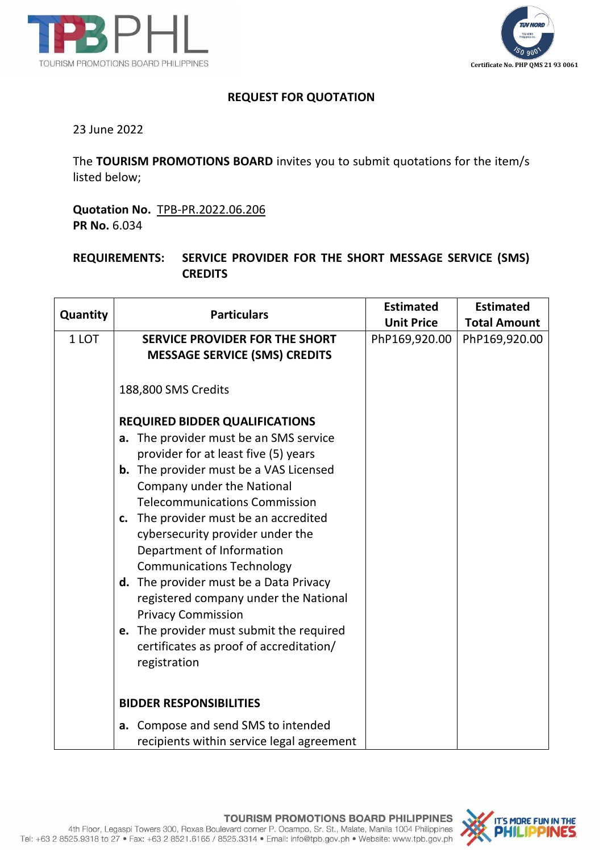



## **REQUEST FOR QUOTATION**

23 June 2022

The **TOURISM PROMOTIONS BOARD** invites you to submit quotations for the item/s listed below;

**Quotation No.** TPB-PR.2022.06.206 **PR No.** 6.034

## **REQUIREMENTS: SERVICE PROVIDER FOR THE SHORT MESSAGE SERVICE (SMS) CREDITS**

| Quantity | <b>Particulars</b>                                                                                                                                                                                                                                                                                                                                                                                                                                                                                                                                                                                                     | <b>Estimated</b>  | <b>Estimated</b>    |
|----------|------------------------------------------------------------------------------------------------------------------------------------------------------------------------------------------------------------------------------------------------------------------------------------------------------------------------------------------------------------------------------------------------------------------------------------------------------------------------------------------------------------------------------------------------------------------------------------------------------------------------|-------------------|---------------------|
|          |                                                                                                                                                                                                                                                                                                                                                                                                                                                                                                                                                                                                                        | <b>Unit Price</b> | <b>Total Amount</b> |
| 1 LOT    | <b>SERVICE PROVIDER FOR THE SHORT</b><br><b>MESSAGE SERVICE (SMS) CREDITS</b>                                                                                                                                                                                                                                                                                                                                                                                                                                                                                                                                          | PhP169,920.00     | PhP169,920.00       |
|          | 188,800 SMS Credits                                                                                                                                                                                                                                                                                                                                                                                                                                                                                                                                                                                                    |                   |                     |
|          | <b>REQUIRED BIDDER QUALIFICATIONS</b><br>The provider must be an SMS service<br>a.<br>provider for at least five (5) years<br><b>b.</b> The provider must be a VAS Licensed<br>Company under the National<br><b>Telecommunications Commission</b><br>c. The provider must be an accredited<br>cybersecurity provider under the<br>Department of Information<br><b>Communications Technology</b><br>d. The provider must be a Data Privacy<br>registered company under the National<br><b>Privacy Commission</b><br>e. The provider must submit the required<br>certificates as proof of accreditation/<br>registration |                   |                     |
|          | <b>BIDDER RESPONSIBILITIES</b>                                                                                                                                                                                                                                                                                                                                                                                                                                                                                                                                                                                         |                   |                     |
|          | Compose and send SMS to intended<br>a.<br>recipients within service legal agreement                                                                                                                                                                                                                                                                                                                                                                                                                                                                                                                                    |                   |                     |